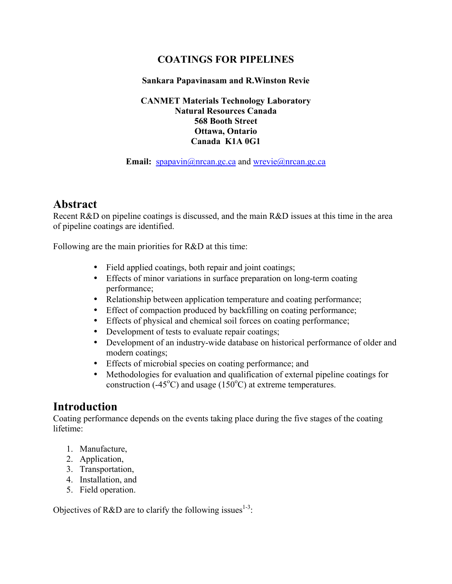# **COATINGS FOR PIPELINES**

### **Sankara Papavinasam and R.Winston Revie**

#### **CANMET Materials Technology Laboratory Natural Resources Canada 568 Booth Street Ottawa, Ontario Canada K1A 0G1**

#### **Email:** spapavin@nrcan.gc.ca and wrevie@nrcan.gc.ca

# **Abstract**

Recent R&D on pipeline coatings is discussed, and the main R&D issues at this time in the area of pipeline coatings are identified.

Following are the main priorities for R&D at this time:

- Field applied coatings, both repair and joint coatings;
- Effects of minor variations in surface preparation on long-term coating performance;
- Relationship between application temperature and coating performance;
- Effect of compaction produced by backfilling on coating performance;
- Effects of physical and chemical soil forces on coating performance;
- Development of tests to evaluate repair coatings;
- Development of an industry-wide database on historical performance of older and modern coatings;
- Effects of microbial species on coating performance; and
- Methodologies for evaluation and qualification of external pipeline coatings for construction (-45 $^{\circ}$ C) and usage (150 $^{\circ}$ C) at extreme temperatures.

# **Introduction**

Coating performance depends on the events taking place during the five stages of the coating lifetime:

- 1. Manufacture,
- 2. Application,
- 3. Transportation,
- 4. Installation, and
- 5. Field operation.

Objectives of R&D are to clarify the following issues<sup>1-3</sup>: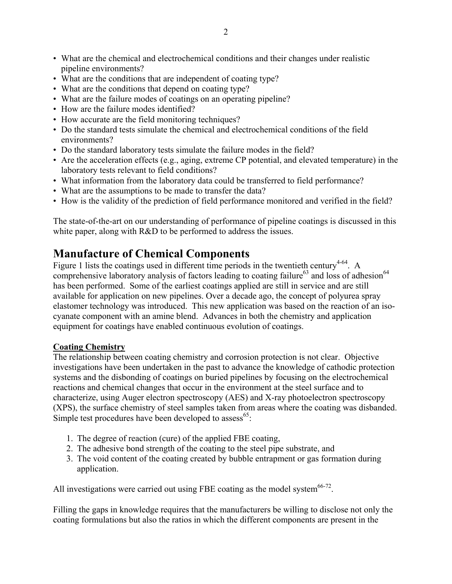- What are the chemical and electrochemical conditions and their changes under realistic pipeline environments?
- What are the conditions that are independent of coating type?
- What are the conditions that depend on coating type?
- What are the failure modes of coatings on an operating pipeline?
- How are the failure modes identified?
- How accurate are the field monitoring techniques?
- Do the standard tests simulate the chemical and electrochemical conditions of the field environments?
- Do the standard laboratory tests simulate the failure modes in the field?
- Are the acceleration effects (e.g., aging, extreme CP potential, and elevated temperature) in the laboratory tests relevant to field conditions?
- What information from the laboratory data could be transferred to field performance?
- What are the assumptions to be made to transfer the data?
- How is the validity of the prediction of field performance monitored and verified in the field?

The state-of-the-art on our understanding of performance of pipeline coatings is discussed in this white paper, along with R&D to be performed to address the issues.

# **Manufacture of Chemical Components**

Figure 1 lists the coatings used in different time periods in the twentieth century<sup>4-64</sup>. A comprehensive laboratory analysis of factors leading to coating failure<sup>63</sup> and loss of adhesion<sup>64</sup> has been performed. Some of the earliest coatings applied are still in service and are still available for application on new pipelines. Over a decade ago, the concept of polyurea spray elastomer technology was introduced. This new application was based on the reaction of an isocyanate component with an amine blend. Advances in both the chemistry and application equipment for coatings have enabled continuous evolution of coatings.

#### **Coating Chemistry**

The relationship between coating chemistry and corrosion protection is not clear. Objective investigations have been undertaken in the past to advance the knowledge of cathodic protection systems and the disbonding of coatings on buried pipelines by focusing on the electrochemical reactions and chemical changes that occur in the environment at the steel surface and to characterize, using Auger electron spectroscopy (AES) and X-ray photoelectron spectroscopy (XPS), the surface chemistry of steel samples taken from areas where the coating was disbanded. Simple test procedures have been developed to assess<sup>65</sup>:

- 1. The degree of reaction (cure) of the applied FBE coating,
- 2. The adhesive bond strength of the coating to the steel pipe substrate, and
- 3. The void content of the coating created by bubble entrapment or gas formation during application.

All investigations were carried out using FBE coating as the model system $66-72$ .

Filling the gaps in knowledge requires that the manufacturers be willing to disclose not only the coating formulations but also the ratios in which the different components are present in the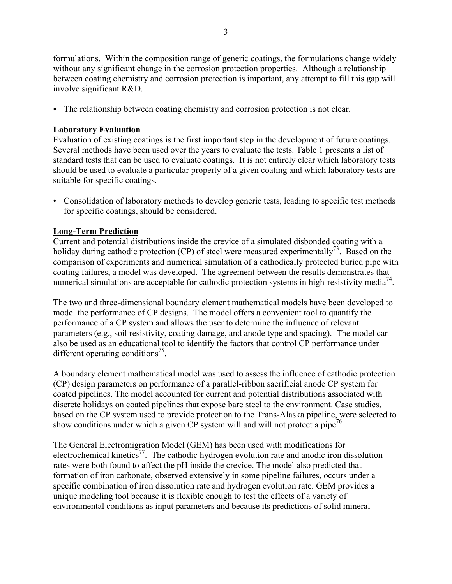formulations. Within the composition range of generic coatings, the formulations change widely without any significant change in the corrosion protection properties. Although a relationship between coating chemistry and corrosion protection is important, any attempt to fill this gap will involve significant R&D.

• The relationship between coating chemistry and corrosion protection is not clear.

## **Laboratory Evaluation**

Evaluation of existing coatings is the first important step in the development of future coatings. Several methods have been used over the years to evaluate the tests. Table 1 presents a list of standard tests that can be used to evaluate coatings. It is not entirely clear which laboratory tests should be used to evaluate a particular property of a given coating and which laboratory tests are suitable for specific coatings.

• Consolidation of laboratory methods to develop generic tests, leading to specific test methods for specific coatings, should be considered.

### **Long-Term Prediction**

Current and potential distributions inside the crevice of a simulated disbonded coating with a holiday during cathodic protection (CP) of steel were measured experimentally<sup>73</sup>. Based on the comparison of experiments and numerical simulation of a cathodically protected buried pipe with coating failures, a model was developed. The agreement between the results demonstrates that numerical simulations are acceptable for cathodic protection systems in high-resistivity media<sup>74</sup>.

The two and three-dimensional boundary element mathematical models have been developed to model the performance of CP designs. The model offers a convenient tool to quantify the performance of a CP system and allows the user to determine the influence of relevant parameters (e.g., soil resistivity, coating damage, and anode type and spacing). The model can also be used as an educational tool to identify the factors that control CP performance under different operating conditions<sup>75</sup>.

A boundary element mathematical model was used to assess the influence of cathodic protection (CP) design parameters on performance of a parallel-ribbon sacrificial anode CP system for coated pipelines. The model accounted for current and potential distributions associated with discrete holidays on coated pipelines that expose bare steel to the environment. Case studies, based on the CP system used to provide protection to the Trans-Alaska pipeline, were selected to show conditions under which a given CP system will and will not protect a pipe<sup>76</sup>.

The General Electromigration Model (GEM) has been used with modifications for electrochemical kinetics<sup>77</sup>. The cathodic hydrogen evolution rate and anodic iron dissolution rates were both found to affect the pH inside the crevice. The model also predicted that formation of iron carbonate, observed extensively in some pipeline failures, occurs under a specific combination of iron dissolution rate and hydrogen evolution rate. GEM provides a unique modeling tool because it is flexible enough to test the effects of a variety of environmental conditions as input parameters and because its predictions of solid mineral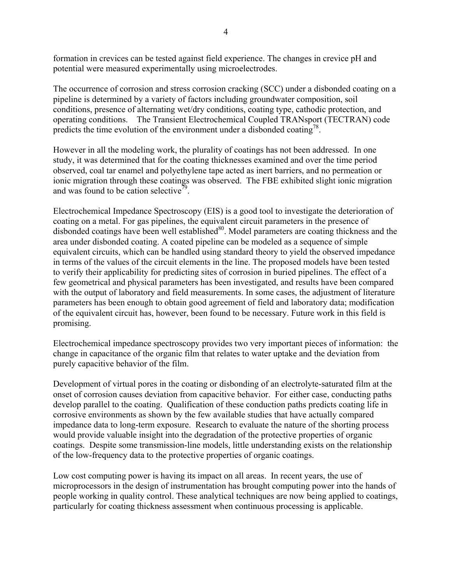formation in crevices can be tested against field experience. The changes in crevice pH and potential were measured experimentally using microelectrodes.

The occurrence of corrosion and stress corrosion cracking (SCC) under a disbonded coating on a pipeline is determined by a variety of factors including groundwater composition, soil conditions, presence of alternating wet/dry conditions, coating type, cathodic protection, and operating conditions. The Transient Electrochemical Coupled TRANsport (TECTRAN) code predicts the time evolution of the environment under a disbonded coating<sup>78</sup>.

However in all the modeling work, the plurality of coatings has not been addressed. In one study, it was determined that for the coating thicknesses examined and over the time period observed, coal tar enamel and polyethylene tape acted as inert barriers, and no permeation or ionic migration through these coatings was observed. The FBE exhibited slight ionic migration and was found to be cation selective<sup>79</sup>.

Electrochemical Impedance Spectroscopy (EIS) is a good tool to investigate the deterioration of coating on a metal. For gas pipelines, the equivalent circuit parameters in the presence of disbonded coatings have been well established $80$ . Model parameters are coating thickness and the area under disbonded coating. A coated pipeline can be modeled as a sequence of simple equivalent circuits, which can be handled using standard theory to yield the observed impedance in terms of the values of the circuit elements in the line. The proposed models have been tested to verify their applicability for predicting sites of corrosion in buried pipelines. The effect of a few geometrical and physical parameters has been investigated, and results have been compared with the output of laboratory and field measurements. In some cases, the adjustment of literature parameters has been enough to obtain good agreement of field and laboratory data; modification of the equivalent circuit has, however, been found to be necessary. Future work in this field is promising.

Electrochemical impedance spectroscopy provides two very important pieces of information: the change in capacitance of the organic film that relates to water uptake and the deviation from purely capacitive behavior of the film.

Development of virtual pores in the coating or disbonding of an electrolyte-saturated film at the onset of corrosion causes deviation from capacitive behavior. For either case, conducting paths develop parallel to the coating. Qualification of these conduction paths predicts coating life in corrosive environments as shown by the few available studies that have actually compared impedance data to long-term exposure. Research to evaluate the nature of the shorting process would provide valuable insight into the degradation of the protective properties of organic coatings. Despite some transmission-line models, little understanding exists on the relationship of the low-frequency data to the protective properties of organic coatings.

Low cost computing power is having its impact on all areas. In recent years, the use of microprocessors in the design of instrumentation has brought computing power into the hands of people working in quality control. These analytical techniques are now being applied to coatings, particularly for coating thickness assessment when continuous processing is applicable.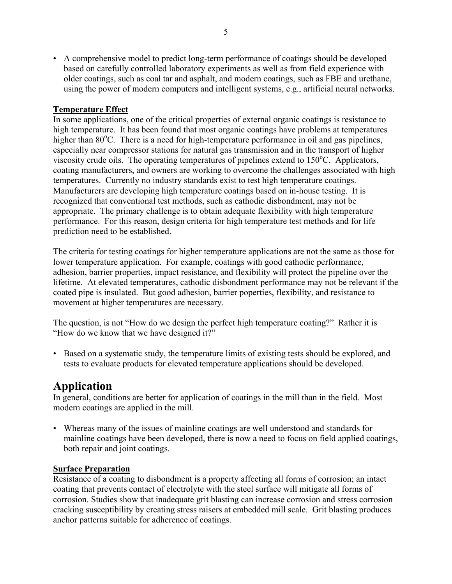• A comprehensive model to predict long-term performance of coatings should be developed based on carefully controlled laboratory experiments as well as from field experience with older coatings, such as coal tar and asphalt, and modern coatings, such as FBE and urethane, using the power of modern computers and intelligent systems, e.g., artificial neural networks.

### **Temperature Effect**

In some applications, one of the critical properties of external organic coatings is resistance to high temperature. It has been found that most organic coatings have problems at temperatures higher than 80°C. There is a need for high-temperature performance in oil and gas pipelines, especially near compressor stations for natural gas transmission and in the transport of higher viscosity crude oils. The operating temperatures of pipelines extend to 150°C. Applicators, coating manufacturers, and owners are working to overcome the challenges associated with high temperatures. Currently no industry standards exist to test high temperature coatings. Manufacturers are developing high temperature coatings based on in-house testing. It is recognized that conventional test methods, such as cathodic disbondment, may not be appropriate. The primary challenge is to obtain adequate flexibility with high temperature performance. For this reason, design criteria for high temperature test methods and for life prediction need to be established.

The criteria for testing coatings for higher temperature applications are not the same as those for lower temperature application. For example, coatings with good cathodic performance, adhesion, barrier properties, impact resistance, and flexibility will protect the pipeline over the lifetime. At elevated temperatures, cathodic disbondment performance may not be relevant if the coated pipe is insulated. But good adhesion, barrier poperties, flexibility, and resistance to movement at higher temperatures are necessary.

The question, is not "How do we design the perfect high temperature coating?" Rather it is "How do we know that we have designed it?"

• Based on a systematic study, the temperature limits of existing tests should be explored, and tests to evaluate products for elevated temperature applications should be developed.

# **Application**

In general, conditions are better for application of coatings in the mill than in the field. Most modern coatings are applied in the mill.

• Whereas many of the issues of mainline coatings are well understood and standards for mainline coatings have been developed, there is now a need to focus on field applied coatings, both repair and joint coatings.

### **Surface Preparation**

Resistance of a coating to disbondment is a property affecting all forms of corrosion; an intact coating that prevents contact of electrolyte with the steel surface will mitigate all forms of corrosion. Studies show that inadequate grit blasting can increase corrosion and stress corrosion cracking susceptibility by creating stress raisers at embedded mill scale. Grit blasting produces anchor patterns suitable for adherence of coatings.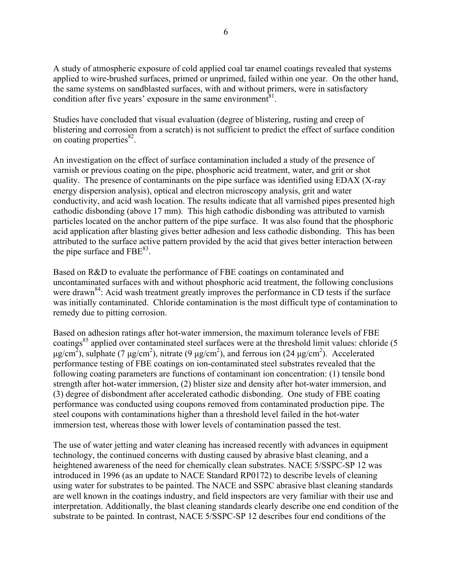A study of atmospheric exposure of cold applied coal tar enamel coatings revealed that systems applied to wire-brushed surfaces, primed or unprimed, failed within one year. On the other hand, the same systems on sandblasted surfaces, with and without primers, were in satisfactory condition after five years' exposure in the same environment $81$ .

Studies have concluded that visual evaluation (degree of blistering, rusting and creep of blistering and corrosion from a scratch) is not sufficient to predict the effect of surface condition on coating properties $^{82}$ .

An investigation on the effect of surface contamination included a study of the presence of varnish or previous coating on the pipe, phosphoric acid treatment, water, and grit or shot quality. The presence of contaminants on the pipe surface was identified using EDAX (X-ray energy dispersion analysis), optical and electron microscopy analysis, grit and water conductivity, and acid wash location. The results indicate that all varnished pipes presented high cathodic disbonding (above 17 mm). This high cathodic disbonding was attributed to varnish particles located on the anchor pattern of the pipe surface. It was also found that the phosphoric acid application after blasting gives better adhesion and less cathodic disbonding. This has been attributed to the surface active pattern provided by the acid that gives better interaction between the pipe surface and  $FBE^{83}$ .

Based on R&D to evaluate the performance of FBE coatings on contaminated and uncontaminated surfaces with and without phosphoric acid treatment, the following conclusions were drawn<sup>84</sup>: Acid wash treatment greatly improves the performance in CD tests if the surface was initially contaminated. Chloride contamination is the most difficult type of contamination to remedy due to pitting corrosion.

Based on adhesion ratings after hot-water immersion, the maximum tolerance levels of FBE coatings<sup>85</sup> applied over contaminated steel surfaces were at the threshold limit values: chloride (5  $\mu$ g/cm<sup>2</sup>), sulphate (7  $\mu$ g/cm<sup>2</sup>), nitrate (9  $\mu$ g/cm<sup>2</sup>), and ferrous ion (24  $\mu$ g/cm<sup>2</sup>). Accelerated performance testing of FBE coatings on ion-contaminated steel substrates revealed that the following coating parameters are functions of contaminant ion concentration: (1) tensile bond strength after hot-water immersion, (2) blister size and density after hot-water immersion, and (3) degree of disbondment after accelerated cathodic disbonding. One study of FBE coating performance was conducted using coupons removed from contaminated production pipe. The steel coupons with contaminations higher than a threshold level failed in the hot-water immersion test, whereas those with lower levels of contamination passed the test.

The use of water jetting and water cleaning has increased recently with advances in equipment technology, the continued concerns with dusting caused by abrasive blast cleaning, and a heightened awareness of the need for chemically clean substrates. NACE 5/SSPC-SP 12 was introduced in 1996 (as an update to NACE Standard RP0172) to describe levels of cleaning using water for substrates to be painted. The NACE and SSPC abrasive blast cleaning standards are well known in the coatings industry, and field inspectors are very familiar with their use and interpretation. Additionally, the blast cleaning standards clearly describe one end condition of the substrate to be painted. In contrast, NACE 5/SSPC-SP 12 describes four end conditions of the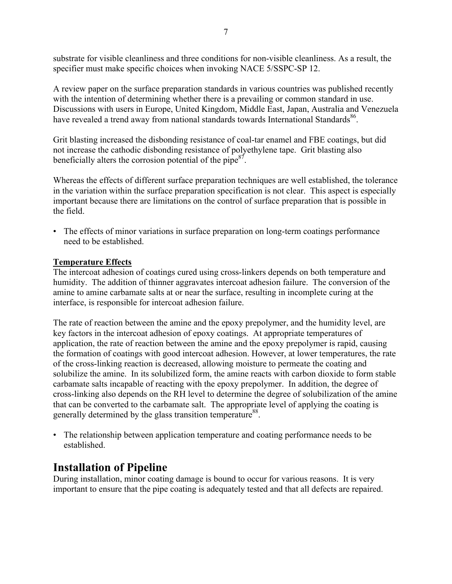substrate for visible cleanliness and three conditions for non-visible cleanliness. As a result, the specifier must make specific choices when invoking NACE 5/SSPC-SP 12.

A review paper on the surface preparation standards in various countries was published recently with the intention of determining whether there is a prevailing or common standard in use. Discussions with users in Europe, United Kingdom, Middle East, Japan, Australia and Venezuela have revealed a trend away from national standards towards International Standards<sup>86</sup>.

Grit blasting increased the disbonding resistance of coal-tar enamel and FBE coatings, but did not increase the cathodic disbonding resistance of polyethylene tape. Grit blasting also beneficially alters the corrosion potential of the pipe $87$ .

Whereas the effects of different surface preparation techniques are well established, the tolerance in the variation within the surface preparation specification is not clear. This aspect is especially important because there are limitations on the control of surface preparation that is possible in the field.

• The effects of minor variations in surface preparation on long-term coatings performance need to be established.

#### **Temperature Effects**

The intercoat adhesion of coatings cured using cross-linkers depends on both temperature and humidity. The addition of thinner aggravates intercoat adhesion failure. The conversion of the amine to amine carbamate salts at or near the surface, resulting in incomplete curing at the interface, is responsible for intercoat adhesion failure.

The rate of reaction between the amine and the epoxy prepolymer, and the humidity level, are key factors in the intercoat adhesion of epoxy coatings. At appropriate temperatures of application, the rate of reaction between the amine and the epoxy prepolymer is rapid, causing the formation of coatings with good intercoat adhesion. However, at lower temperatures, the rate of the cross-linking reaction is decreased, allowing moisture to permeate the coating and solubilize the amine. In its solubilized form, the amine reacts with carbon dioxide to form stable carbamate salts incapable of reacting with the epoxy prepolymer. In addition, the degree of cross-linking also depends on the RH level to determine the degree of solubilization of the amine that can be converted to the carbamate salt. The appropriate level of applying the coating is generally determined by the glass transition temperature<sup>88</sup>.

• The relationship between application temperature and coating performance needs to be established.

# **Installation of Pipeline**

During installation, minor coating damage is bound to occur for various reasons. It is very important to ensure that the pipe coating is adequately tested and that all defects are repaired.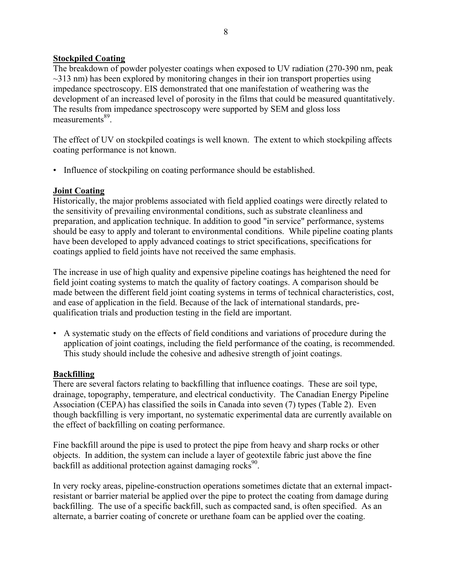### **Stockpiled Coating**

The breakdown of powder polyester coatings when exposed to UV radiation (270-390 nm, peak  $\sim$ 313 nm) has been explored by monitoring changes in their ion transport properties using impedance spectroscopy. EIS demonstrated that one manifestation of weathering was the development of an increased level of porosity in the films that could be measured quantitatively. The results from impedance spectroscopy were supported by SEM and gloss loss measurements<sup>89</sup>

The effect of UV on stockpiled coatings is well known. The extent to which stockpiling affects coating performance is not known.

• Influence of stockpiling on coating performance should be established.

#### **Joint Coating**

Historically, the major problems associated with field applied coatings were directly related to the sensitivity of prevailing environmental conditions, such as substrate cleanliness and preparation, and application technique. In addition to good "in service" performance, systems should be easy to apply and tolerant to environmental conditions. While pipeline coating plants have been developed to apply advanced coatings to strict specifications, specifications for coatings applied to field joints have not received the same emphasis.

The increase in use of high quality and expensive pipeline coatings has heightened the need for field joint coating systems to match the quality of factory coatings. A comparison should be made between the different field joint coating systems in terms of technical characteristics, cost, and ease of application in the field. Because of the lack of international standards, prequalification trials and production testing in the field are important.

• A systematic study on the effects of field conditions and variations of procedure during the application of joint coatings, including the field performance of the coating, is recommended. This study should include the cohesive and adhesive strength of joint coatings.

#### **Backfilling**

There are several factors relating to backfilling that influence coatings. These are soil type, drainage, topography, temperature, and electrical conductivity. The Canadian Energy Pipeline Association (CEPA) has classified the soils in Canada into seven (7) types (Table 2). Even though backfilling is very important, no systematic experimental data are currently available on the effect of backfilling on coating performance.

Fine backfill around the pipe is used to protect the pipe from heavy and sharp rocks or other objects. In addition, the system can include a layer of geotextile fabric just above the fine backfill as additional protection against damaging rocks<sup>90</sup>.

In very rocky areas, pipeline-construction operations sometimes dictate that an external impactresistant or barrier material be applied over the pipe to protect the coating from damage during backfilling. The use of a specific backfill, such as compacted sand, is often specified. As an alternate, a barrier coating of concrete or urethane foam can be applied over the coating.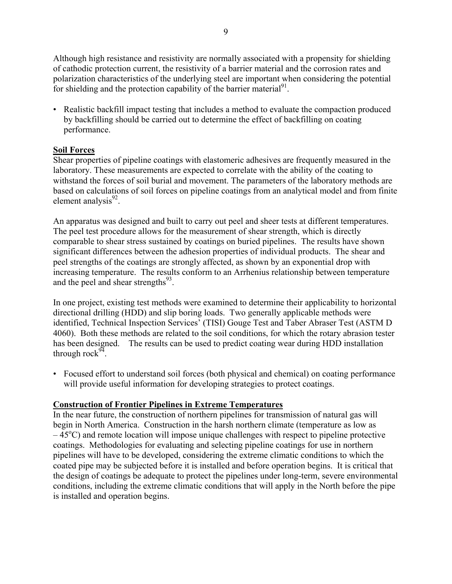Although high resistance and resistivity are normally associated with a propensity for shielding of cathodic protection current, the resistivity of a barrier material and the corrosion rates and polarization characteristics of the underlying steel are important when considering the potential for shielding and the protection capability of the barrier material $^{91}$ .

• Realistic backfill impact testing that includes a method to evaluate the compaction produced by backfilling should be carried out to determine the effect of backfilling on coating performance.

## **Soil Forces**

Shear properties of pipeline coatings with elastomeric adhesives are frequently measured in the laboratory. These measurements are expected to correlate with the ability of the coating to withstand the forces of soil burial and movement. The parameters of the laboratory methods are based on calculations of soil forces on pipeline coatings from an analytical model and from finite element analysis $^{92}$ .

An apparatus was designed and built to carry out peel and sheer tests at different temperatures. The peel test procedure allows for the measurement of shear strength, which is directly comparable to shear stress sustained by coatings on buried pipelines. The results have shown significant differences between the adhesion properties of individual products. The shear and peel strengths of the coatings are strongly affected, as shown by an exponential drop with increasing temperature. The results conform to an Arrhenius relationship between temperature and the peel and shear strengths $^{93}$ .

In one project, existing test methods were examined to determine their applicability to horizontal directional drilling (HDD) and slip boring loads. Two generally applicable methods were identified, Technical Inspection Services' (TISI) Gouge Test and Taber Abraser Test (ASTM D 4060). Both these methods are related to the soil conditions, for which the rotary abrasion tester has been designed. The results can be used to predict coating wear during HDD installation through rock $94$ .

• Focused effort to understand soil forces (both physical and chemical) on coating performance will provide useful information for developing strategies to protect coatings.

### **Construction of Frontier Pipelines in Extreme Temperatures**

In the near future, the construction of northern pipelines for transmission of natural gas will begin in North America. Construction in the harsh northern climate (temperature as low as  $-45^{\circ}$ C) and remote location will impose unique challenges with respect to pipeline protective coatings. Methodologies for evaluating and selecting pipeline coatings for use in northern pipelines will have to be developed, considering the extreme climatic conditions to which the coated pipe may be subjected before it is installed and before operation begins. It is critical that the design of coatings be adequate to protect the pipelines under long-term, severe environmental conditions, including the extreme climatic conditions that will apply in the North before the pipe is installed and operation begins.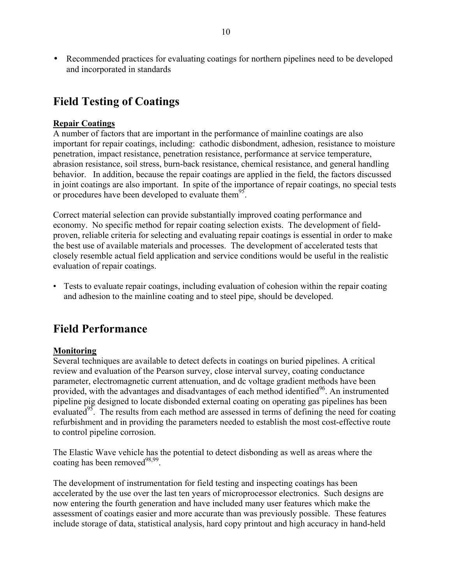• Recommended practices for evaluating coatings for northern pipelines need to be developed and incorporated in standards

# **Field Testing of Coatings**

### **Repair Coatings**

A number of factors that are important in the performance of mainline coatings are also important for repair coatings, including: cathodic disbondment, adhesion, resistance to moisture penetration, impact resistance, penetration resistance, performance at service temperature, abrasion resistance, soil stress, burn-back resistance, chemical resistance, and general handling behavior. In addition, because the repair coatings are applied in the field, the factors discussed in joint coatings are also important. In spite of the importance of repair coatings, no special tests or procedures have been developed to evaluate them<sup>95</sup>.

Correct material selection can provide substantially improved coating performance and economy. No specific method for repair coating selection exists. The development of fieldproven, reliable criteria for selecting and evaluating repair coatings is essential in order to make the best use of available materials and processes. The development of accelerated tests that closely resemble actual field application and service conditions would be useful in the realistic evaluation of repair coatings.

• Tests to evaluate repair coatings, including evaluation of cohesion within the repair coating and adhesion to the mainline coating and to steel pipe, should be developed.

# **Field Performance**

### **Monitoring**

Several techniques are available to detect defects in coatings on buried pipelines. A critical review and evaluation of the Pearson survey, close interval survey, coating conductance parameter, electromagnetic current attenuation, and dc voltage gradient methods have been provided, with the advantages and disadvantages of each method identified<sup>96</sup>. An instrumented pipeline pig designed to locate disbonded external coating on operating gas pipelines has been evaluated<sup>95</sup>. The results from each method are assessed in terms of defining the need for coating refurbishment and in providing the parameters needed to establish the most cost-effective route to control pipeline corrosion.

The Elastic Wave vehicle has the potential to detect disbonding as well as areas where the coating has been removed $^{98,99}$ .

The development of instrumentation for field testing and inspecting coatings has been accelerated by the use over the last ten years of microprocessor electronics. Such designs are now entering the fourth generation and have included many user features which make the assessment of coatings easier and more accurate than was previously possible. These features include storage of data, statistical analysis, hard copy printout and high accuracy in hand-held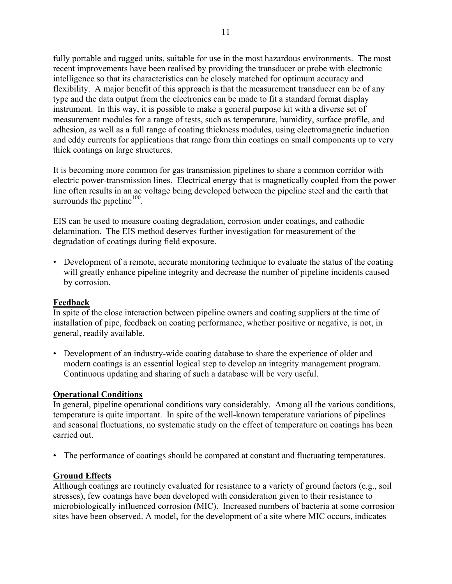fully portable and rugged units, suitable for use in the most hazardous environments. The most recent improvements have been realised by providing the transducer or probe with electronic intelligence so that its characteristics can be closely matched for optimum accuracy and flexibility. A major benefit of this approach is that the measurement transducer can be of any type and the data output from the electronics can be made to fit a standard format display instrument. In this way, it is possible to make a general purpose kit with a diverse set of measurement modules for a range of tests, such as temperature, humidity, surface profile, and adhesion, as well as a full range of coating thickness modules, using electromagnetic induction and eddy currents for applications that range from thin coatings on small components up to very thick coatings on large structures.

It is becoming more common for gas transmission pipelines to share a common corridor with electric power-transmission lines. Electrical energy that is magnetically coupled from the power line often results in an ac voltage being developed between the pipeline steel and the earth that surrounds the pipeline $100$ .

EIS can be used to measure coating degradation, corrosion under coatings, and cathodic delamination. The EIS method deserves further investigation for measurement of the degradation of coatings during field exposure.

• Development of a remote, accurate monitoring technique to evaluate the status of the coating will greatly enhance pipeline integrity and decrease the number of pipeline incidents caused by corrosion.

#### **Feedback**

In spite of the close interaction between pipeline owners and coating suppliers at the time of installation of pipe, feedback on coating performance, whether positive or negative, is not, in general, readily available.

• Development of an industry-wide coating database to share the experience of older and modern coatings is an essential logical step to develop an integrity management program. Continuous updating and sharing of such a database will be very useful.

#### **Operational Conditions**

In general, pipeline operational conditions vary considerably. Among all the various conditions, temperature is quite important. In spite of the well-known temperature variations of pipelines and seasonal fluctuations, no systematic study on the effect of temperature on coatings has been carried out.

• The performance of coatings should be compared at constant and fluctuating temperatures.

### **Ground Effects**

Although coatings are routinely evaluated for resistance to a variety of ground factors (e.g., soil stresses), few coatings have been developed with consideration given to their resistance to microbiologically influenced corrosion (MIC). Increased numbers of bacteria at some corrosion sites have been observed. A model, for the development of a site where MIC occurs, indicates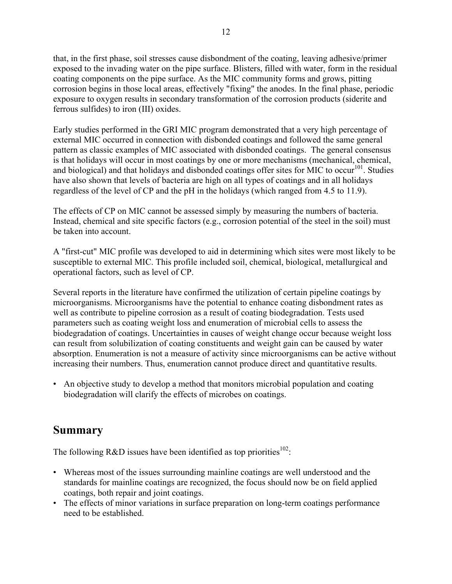that, in the first phase, soil stresses cause disbondment of the coating, leaving adhesive/primer exposed to the invading water on the pipe surface. Blisters, filled with water, form in the residual coating components on the pipe surface. As the MIC community forms and grows, pitting corrosion begins in those local areas, effectively "fixing" the anodes. In the final phase, periodic exposure to oxygen results in secondary transformation of the corrosion products (siderite and ferrous sulfides) to iron (III) oxides.

Early studies performed in the GRI MIC program demonstrated that a very high percentage of external MIC occurred in connection with disbonded coatings and followed the same general pattern as classic examples of MIC associated with disbonded coatings. The general consensus is that holidays will occur in most coatings by one or more mechanisms (mechanical, chemical, and biological) and that holidays and disbonded coatings offer sites for MIC to occur<sup>101</sup>. Studies have also shown that levels of bacteria are high on all types of coatings and in all holidays regardless of the level of CP and the pH in the holidays (which ranged from 4.5 to 11.9).

The effects of CP on MIC cannot be assessed simply by measuring the numbers of bacteria. Instead, chemical and site specific factors (e.g., corrosion potential of the steel in the soil) must be taken into account.

A "first-cut" MIC profile was developed to aid in determining which sites were most likely to be susceptible to external MIC. This profile included soil, chemical, biological, metallurgical and operational factors, such as level of CP.

Several reports in the literature have confirmed the utilization of certain pipeline coatings by microorganisms. Microorganisms have the potential to enhance coating disbondment rates as well as contribute to pipeline corrosion as a result of coating biodegradation. Tests used parameters such as coating weight loss and enumeration of microbial cells to assess the biodegradation of coatings. Uncertainties in causes of weight change occur because weight loss can result from solubilization of coating constituents and weight gain can be caused by water absorption. Enumeration is not a measure of activity since microorganisms can be active without increasing their numbers. Thus, enumeration cannot produce direct and quantitative results.

• An objective study to develop a method that monitors microbial population and coating biodegradation will clarify the effects of microbes on coatings.

# **Summary**

The following R&D issues have been identified as top priorities<sup>102</sup>:

- Whereas most of the issues surrounding mainline coatings are well understood and the standards for mainline coatings are recognized, the focus should now be on field applied coatings, both repair and joint coatings.
- The effects of minor variations in surface preparation on long-term coatings performance need to be established.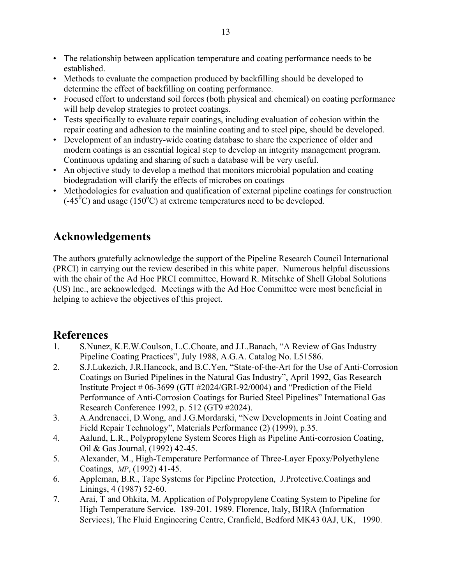- The relationship between application temperature and coating performance needs to be established.
- Methods to evaluate the compaction produced by backfilling should be developed to determine the effect of backfilling on coating performance.
- Focused effort to understand soil forces (both physical and chemical) on coating performance will help develop strategies to protect coatings.
- Tests specifically to evaluate repair coatings, including evaluation of cohesion within the repair coating and adhesion to the mainline coating and to steel pipe, should be developed.
- Development of an industry-wide coating database to share the experience of older and modern coatings is an essential logical step to develop an integrity management program. Continuous updating and sharing of such a database will be very useful.
- An objective study to develop a method that monitors microbial population and coating biodegradation will clarify the effects of microbes on coatings
- Methodologies for evaluation and qualification of external pipeline coatings for construction  $(0.45^{\circ}$ C) and usage (150°C) at extreme temperatures need to be developed.

# **Acknowledgements**

The authors gratefully acknowledge the support of the Pipeline Research Council International (PRCI) in carrying out the review described in this white paper. Numerous helpful discussions with the chair of the Ad Hoc PRCI committee, Howard R. Mitschke of Shell Global Solutions (US) Inc., are acknowledged. Meetings with the Ad Hoc Committee were most beneficial in helping to achieve the objectives of this project.

# **References**

- 1. S.Nunez, K.E.W.Coulson, L.C.Choate, and J.L.Banach, "A Review of Gas Industry Pipeline Coating Practices", July 1988, A.G.A. Catalog No. L51586.
- 2. S.J.Lukezich, J.R.Hancock, and B.C.Yen, "State-of-the-Art for the Use of Anti-Corrosion Coatings on Buried Pipelines in the Natural Gas Industry", April 1992, Gas Research Institute Project # 06-3699 (GTI #2024/GRI-92/0004) and "Prediction of the Field Performance of Anti-Corrosion Coatings for Buried Steel Pipelines" International Gas Research Conference 1992, p. 512 (GT9 #2024).
- 3. A.Andrenacci, D.Wong, and J.G.Mordarski, "New Developments in Joint Coating and Field Repair Technology", Materials Performance (2) (1999), p.35.
- 4. Aalund, L.R., Polypropylene System Scores High as Pipeline Anti-corrosion Coating, Oil & Gas Journal, (1992) 42-45.
- 5. Alexander, M., High-Temperature Performance of Three-Layer Epoxy/Polyethylene Coatings, *MP*, (1992) 41-45.
- 6. Appleman, B.R., Tape Systems for Pipeline Protection, J.Protective.Coatings and Linings, 4 (1987) 52-60.
- 7. Arai, T and Ohkita, M. Application of Polypropylene Coating System to Pipeline for High Temperature Service. 189-201. 1989. Florence, Italy, BHRA (Information Services), The Fluid Engineering Centre, Cranfield, Bedford MK43 0AJ, UK, 1990.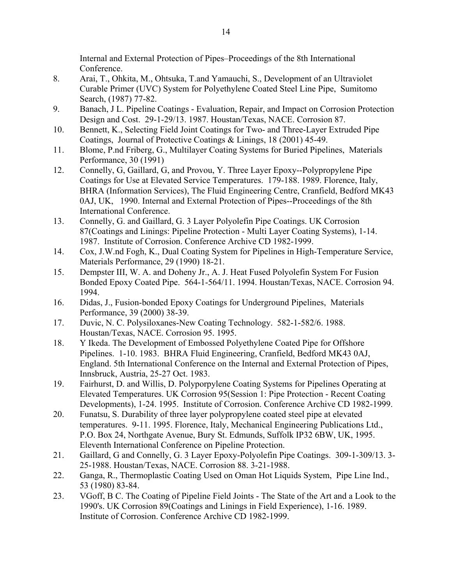Internal and External Protection of Pipes–Proceedings of the 8th International Conference.

- 8. Arai, T., Ohkita, M., Ohtsuka, T.and Yamauchi, S., Development of an Ultraviolet Curable Primer (UVC) System for Polyethylene Coated Steel Line Pipe, Sumitomo Search, (1987) 77-82.
- 9. Banach, J L. Pipeline Coatings Evaluation, Repair, and Impact on Corrosion Protection Design and Cost. 29-1-29/13. 1987. Houstan/Texas, NACE. Corrosion 87.
- 10. Bennett, K., Selecting Field Joint Coatings for Two- and Three-Layer Extruded Pipe Coatings, Journal of Protective Coatings & Linings, 18 (2001) 45-49.
- 11. Blome, P.nd Friberg, G., Multilayer Coating Systems for Buried Pipelines, Materials Performance, 30 (1991)
- 12. Connelly, G, Gaillard, G, and Provou, Y. Three Layer Epoxy--Polypropylene Pipe Coatings for Use at Elevated Service Temperatures. 179-188. 1989. Florence, Italy, BHRA (Information Services), The Fluid Engineering Centre, Cranfield, Bedford MK43 0AJ, UK, 1990. Internal and External Protection of Pipes--Proceedings of the 8th International Conference.
- 13. Connelly, G. and Gaillard, G. 3 Layer Polyolefin Pipe Coatings. UK Corrosion 87(Coatings and Linings: Pipeline Protection - Multi Layer Coating Systems), 1-14. 1987. Institute of Corrosion. Conference Archive CD 1982-1999.
- 14. Cox, J.W.nd Fogh, K., Dual Coating System for Pipelines in High-Temperature Service, Materials Performance, 29 (1990) 18-21.
- 15. Dempster III, W. A. and Doheny Jr., A. J. Heat Fused Polyolefin System For Fusion Bonded Epoxy Coated Pipe. 564-1-564/11. 1994. Houstan/Texas, NACE. Corrosion 94. 1994.
- 16. Didas, J., Fusion-bonded Epoxy Coatings for Underground Pipelines, Materials Performance, 39 (2000) 38-39.
- 17. Duvic, N. C. Polysiloxanes-New Coating Technology. 582-1-582/6. 1988. Houstan/Texas, NACE. Corrosion 95. 1995.
- 18. Y Ikeda. The Development of Embossed Polyethylene Coated Pipe for Offshore Pipelines. 1-10. 1983. BHRA Fluid Engineering, Cranfield, Bedford MK43 0AJ, England. 5th International Conference on the Internal and External Protection of Pipes, Innsbruck, Austria, 25-27 Oct. 1983.
- 19. Fairhurst, D. and Willis, D. Polyporpylene Coating Systems for Pipelines Operating at Elevated Temperatures. UK Corrosion 95(Session 1: Pipe Protection - Recent Coating Developments), 1-24. 1995. Institute of Corrosion. Conference Archive CD 1982-1999.
- 20. Funatsu, S. Durability of three layer polypropylene coated steel pipe at elevated temperatures. 9-11. 1995. Florence, Italy, Mechanical Engineering Publications Ltd., P.O. Box 24, Northgate Avenue, Bury St. Edmunds, Suffolk IP32 6BW, UK, 1995. Eleventh International Conference on Pipeline Protection.
- 21. Gaillard, G and Connelly, G. 3 Layer Epoxy-Polyolefin Pipe Coatings. 309-1-309/13. 3- 25-1988. Houstan/Texas, NACE. Corrosion 88. 3-21-1988.
- 22. Ganga, R., Thermoplastic Coating Used on Oman Hot Liquids System, Pipe Line Ind., 53 (1980) 83-84.
- 23. VGoff, B C. The Coating of Pipeline Field Joints The State of the Art and a Look to the 1990's. UK Corrosion 89(Coatings and Linings in Field Experience), 1-16. 1989. Institute of Corrosion. Conference Archive CD 1982-1999.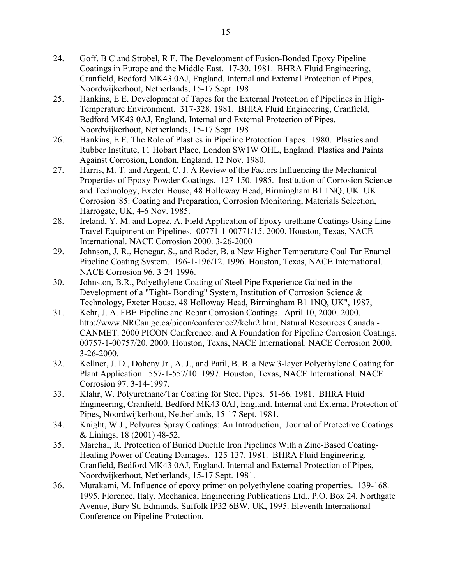- 24. Goff, B C and Strobel, R F. The Development of Fusion-Bonded Epoxy Pipeline Coatings in Europe and the Middle East. 17-30. 1981. BHRA Fluid Engineering, Cranfield, Bedford MK43 0AJ, England. Internal and External Protection of Pipes, Noordwijkerhout, Netherlands, 15-17 Sept. 1981.
- 25. Hankins, E E. Development of Tapes for the External Protection of Pipelines in High-Temperature Environment. 317-328. 1981. BHRA Fluid Engineering, Cranfield, Bedford MK43 0AJ, England. Internal and External Protection of Pipes, Noordwijkerhout, Netherlands, 15-17 Sept. 1981.
- 26. Hankins, E E. The Role of Plastics in Pipeline Protection Tapes. 1980. Plastics and Rubber Institute, 11 Hobart Place, London SW1W OHL, England. Plastics and Paints Against Corrosion, London, England, 12 Nov. 1980.
- 27. Harris, M. T. and Argent, C. J. A Review of the Factors Influencing the Mechanical Properties of Epoxy Powder Coatings. 127-150. 1985. Institution of Corrosion Science and Technology, Exeter House, 48 Holloway Head, Birmingham B1 1NQ, UK. UK Corrosion '85: Coating and Preparation, Corrosion Monitoring, Materials Selection, Harrogate, UK, 4-6 Nov. 1985.
- 28. Ireland, Y. M. and Lopez, A. Field Application of Epoxy-urethane Coatings Using Line Travel Equipment on Pipelines. 00771-1-00771/15. 2000. Houston, Texas, NACE International. NACE Corrosion 2000. 3-26-2000
- 29. Johnson, J. R., Henegar, S., and Roder, B. a New Higher Temperature Coal Tar Enamel Pipeline Coating System. 196-1-196/12. 1996. Houston, Texas, NACE International. NACE Corrosion 96. 3-24-1996.
- 30. Johnston, B.R., Polyethylene Coating of Steel Pipe Experience Gained in the Development of a "Tight- Bonding" System, Institution of Corrosion Science & Technology, Exeter House, 48 Holloway Head, Birmingham B1 1NQ, UK", 1987,
- 31. Kehr, J. A. FBE Pipeline and Rebar Corrosion Coatings. April 10, 2000. 2000. http://www.NRCan.gc.ca/picon/conference2/kehr2.htm, Natural Resources Canada - CANMET. 2000 PICON Conference. and A Foundation for Pipeline Corrosion Coatings. 00757-1-00757/20. 2000. Houston, Texas, NACE International. NACE Corrosion 2000. 3-26-2000.
- 32. Kellner, J. D., Doheny Jr., A. J., and Patil, B. B. a New 3-layer Polyethylene Coating for Plant Application. 557-1-557/10. 1997. Houston, Texas, NACE International. NACE Corrosion 97. 3-14-1997.
- 33. Klahr, W. Polyurethane/Tar Coating for Steel Pipes. 51-66. 1981. BHRA Fluid Engineering, Cranfield, Bedford MK43 0AJ, England. Internal and External Protection of Pipes, Noordwijkerhout, Netherlands, 15-17 Sept. 1981.
- 34. Knight, W.J., Polyurea Spray Coatings: An Introduction, Journal of Protective Coatings & Linings, 18 (2001) 48-52.
- 35. Marchal, R. Protection of Buried Ductile Iron Pipelines With a Zinc-Based Coating-Healing Power of Coating Damages. 125-137. 1981. BHRA Fluid Engineering, Cranfield, Bedford MK43 0AJ, England. Internal and External Protection of Pipes, Noordwijkerhout, Netherlands, 15-17 Sept. 1981.
- 36. Murakami, M. Influence of epoxy primer on polyethylene coating properties. 139-168. 1995. Florence, Italy, Mechanical Engineering Publications Ltd., P.O. Box 24, Northgate Avenue, Bury St. Edmunds, Suffolk IP32 6BW, UK, 1995. Eleventh International Conference on Pipeline Protection.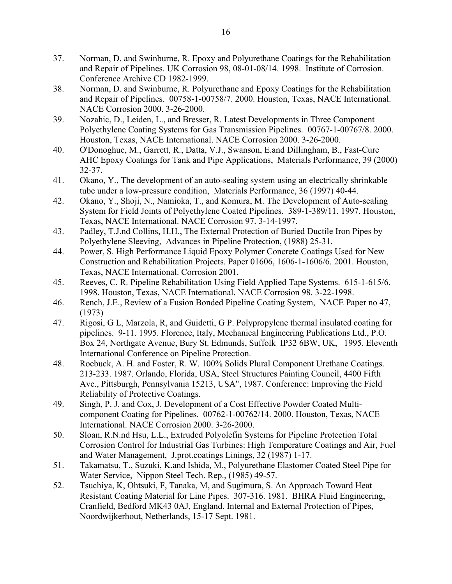- 37. Norman, D. and Swinburne, R. Epoxy and Polyurethane Coatings for the Rehabilitation and Repair of Pipelines. UK Corrosion 98, 08-01-08/14. 1998. Institute of Corrosion. Conference Archive CD 1982-1999.
- 38. Norman, D. and Swinburne, R. Polyurethane and Epoxy Coatings for the Rehabilitation and Repair of Pipelines. 00758-1-00758/7. 2000. Houston, Texas, NACE International. NACE Corrosion 2000. 3-26-2000.
- 39. Nozahic, D., Leiden, L., and Bresser, R. Latest Developments in Three Component Polyethylene Coating Systems for Gas Transmission Pipelines. 00767-1-00767/8. 2000. Houston, Texas, NACE International. NACE Corrosion 2000. 3-26-2000.
- 40. O'Donoghue, M., Garrett, R., Datta, V.J., Swanson, E.and Dillingham, B., Fast-Cure AHC Epoxy Coatings for Tank and Pipe Applications, Materials Performance, 39 (2000) 32-37.
- 41. Okano, Y., The development of an auto-sealing system using an electrically shrinkable tube under a low-pressure condition, Materials Performance, 36 (1997) 40-44.
- 42. Okano, Y., Shoji, N., Namioka, T., and Komura, M. The Development of Auto-sealing System for Field Joints of Polyethylene Coated Pipelines. 389-1-389/11. 1997. Houston, Texas, NACE International. NACE Corrosion 97. 3-14-1997.
- 43. Padley, T.J.nd Collins, H.H., The External Protection of Buried Ductile Iron Pipes by Polyethylene Sleeving, Advances in Pipeline Protection, (1988) 25-31.
- 44. Power, S. High Performance Liquid Epoxy Polymer Concrete Coatings Used for New Construction and Rehabilitation Projects. Paper 01606, 1606-1-1606/6. 2001. Houston, Texas, NACE International. Corrosion 2001.
- 45. Reeves, C. R. Pipeline Rehabilitation Using Field Applied Tape Systems. 615-1-615/6. 1998. Houston, Texas, NACE International. NACE Corrosion 98. 3-22-1998.
- 46. Rench, J.E., Review of a Fusion Bonded Pipeline Coating System, NACE Paper no 47, (1973)
- 47. Rigosi, G L, Marzola, R, and Guidetti, G P. Polypropylene thermal insulated coating for pipelines. 9-11. 1995. Florence, Italy, Mechanical Engineering Publications Ltd., P.O. Box 24, Northgate Avenue, Bury St. Edmunds, Suffolk IP32 6BW, UK, 1995. Eleventh International Conference on Pipeline Protection.
- 48. Roebuck, A. H. and Foster, R. W. 100% Solids Plural Component Urethane Coatings. 213-233. 1987. Orlando, Florida, USA, Steel Structures Painting Council, 4400 Fifth Ave., Pittsburgh, Pennsylvania 15213, USA", 1987. Conference: Improving the Field Reliability of Protective Coatings.
- 49. Singh, P. J. and Cox, J. Development of a Cost Effective Powder Coated Multicomponent Coating for Pipelines. 00762-1-00762/14. 2000. Houston, Texas, NACE International. NACE Corrosion 2000. 3-26-2000.
- 50. Sloan, R.N.nd Hsu, L.L., Extruded Polyolefin Systems for Pipeline Protection Total Corrosion Control for Industrial Gas Turbines: High Temperature Coatings and Air, Fuel and Water Management, J.prot.coatings Linings, 32 (1987) 1-17.
- 51. Takamatsu, T., Suzuki, K.and Ishida, M., Polyurethane Elastomer Coated Steel Pipe for Water Service, Nippon Steel Tech. Rep., (1985) 49-57.
- 52. Tsuchiya, K, Ohtsuki, F, Tanaka, M, and Sugimura, S. An Approach Toward Heat Resistant Coating Material for Line Pipes. 307-316. 1981. BHRA Fluid Engineering, Cranfield, Bedford MK43 0AJ, England. Internal and External Protection of Pipes, Noordwijkerhout, Netherlands, 15-17 Sept. 1981.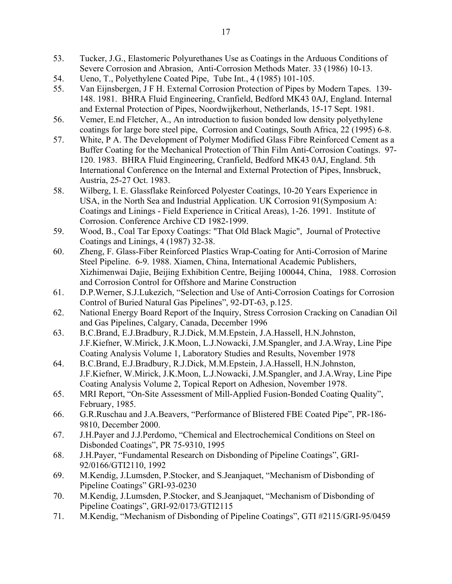- 53. Tucker, J.G., Elastomeric Polyurethanes Use as Coatings in the Arduous Conditions of Severe Corrosion and Abrasion, Anti-Corrosion Methods Mater. 33 (1986) 10-13.
- 54. Ueno, T., Polyethylene Coated Pipe, Tube Int., 4 (1985) 101-105.
- 55. Van Eijnsbergen, J F H. External Corrosion Protection of Pipes by Modern Tapes. 139- 148. 1981. BHRA Fluid Engineering, Cranfield, Bedford MK43 0AJ, England. Internal and External Protection of Pipes, Noordwijkerhout, Netherlands, 15-17 Sept. 1981.
- 56. Vemer, E.nd Fletcher, A., An introduction to fusion bonded low density polyethylene coatings for large bore steel pipe, Corrosion and Coatings, South Africa, 22 (1995) 6-8.
- 57. White, P A. The Development of Polymer Modified Glass Fibre Reinforced Cement as a Buffer Coating for the Mechanical Protection of Thin Film Anti-Corrosion Coatings. 97- 120. 1983. BHRA Fluid Engineering, Cranfield, Bedford MK43 0AJ, England. 5th International Conference on the Internal and External Protection of Pipes, Innsbruck, Austria, 25-27 Oct. 1983.
- 58. Wilberg, I. E. Glassflake Reinforced Polyester Coatings, 10-20 Years Experience in USA, in the North Sea and Industrial Application. UK Corrosion 91(Symposium A: Coatings and Linings - Field Experience in Critical Areas), 1-26. 1991. Institute of Corrosion. Conference Archive CD 1982-1999.
- 59. Wood, B., Coal Tar Epoxy Coatings: "That Old Black Magic", Journal of Protective Coatings and Linings, 4 (1987) 32-38.
- 60. Zheng, F. Glass-Fiber Reinforced Plastics Wrap-Coating for Anti-Corrosion of Marine Steel Pipeline. 6-9. 1988. Xiamen, China, International Academic Publishers, Xizhimenwai Dajie, Beijing Exhibition Centre, Beijing 100044, China, 1988. Corrosion and Corrosion Control for Offshore and Marine Construction
- 61. D.P.Werner, S.J.Lukezich, "Selection and Use of Anti-Corrosion Coatings for Corrosion Control of Buried Natural Gas Pipelines", 92-DT-63, p.125.
- 62. National Energy Board Report of the Inquiry, Stress Corrosion Cracking on Canadian Oil and Gas Pipelines, Calgary, Canada, December 1996
- 63. B.C.Brand, E.J.Bradbury, R.J.Dick, M.M.Epstein, J.A.Hassell, H.N.Johnston, J.F.Kiefner, W.Mirick, J.K.Moon, L.J.Nowacki, J.M.Spangler, and J.A.Wray, Line Pipe Coating Analysis Volume 1, Laboratory Studies and Results, November 1978
- 64. B.C.Brand, E.J.Bradbury, R.J.Dick, M.M.Epstein, J.A.Hassell, H.N.Johnston, J.F.Kiefner, W.Mirick, J.K.Moon, L.J.Nowacki, J.M.Spangler, and J.A.Wray, Line Pipe Coating Analysis Volume 2, Topical Report on Adhesion, November 1978.
- 65. MRI Report, "On-Site Assessment of Mill-Applied Fusion-Bonded Coating Quality", February, 1985.
- 66. G.R.Ruschau and J.A.Beavers, "Performance of Blistered FBE Coated Pipe", PR-186- 9810, December 2000.
- 67. J.H.Payer and J.J.Perdomo, "Chemical and Electrochemical Conditions on Steel on Disbonded Coatings", PR 75-9310, 1995
- 68. J.H.Payer, "Fundamental Research on Disbonding of Pipeline Coatings", GRI-92/0166/GTI2110, 1992
- 69. M.Kendig, J.Lumsden, P.Stocker, and S.Jeanjaquet, "Mechanism of Disbonding of Pipeline Coatings" GRI-93-0230
- 70. M.Kendig, J.Lumsden, P.Stocker, and S.Jeanjaquet, "Mechanism of Disbonding of Pipeline Coatings", GRI-92/0173/GTI2115
- 71. M.Kendig, "Mechanism of Disbonding of Pipeline Coatings", GTI #2115/GRI-95/0459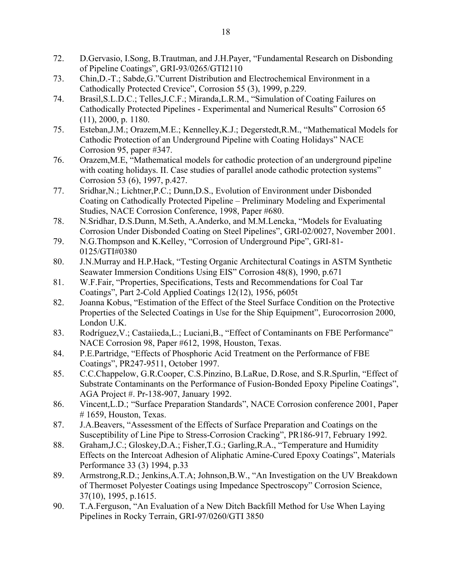- 72. D.Gervasio, I.Song, B.Trautman, and J.H.Payer, "Fundamental Research on Disbonding of Pipeline Coatings", GRI-93/0265/GTI2110
- 73. Chin,D.-T.; Sabde,G."Current Distribution and Electrochemical Environment in a Cathodically Protected Crevice", Corrosion 55 (3), 1999, p.229.
- 74. Brasil,S.L.D.C.; Telles,J.C.F.; Miranda,L.R.M., "Simulation of Coating Failures on Cathodically Protected Pipelines - Experimental and Numerical Results" Corrosion 65 (11), 2000, p. 1180.
- 75. Esteban,J.M.; Orazem,M.E.; Kennelley,K.J.; Degerstedt,R.M., "Mathematical Models for Cathodic Protection of an Underground Pipeline with Coating Holidays" NACE Corrosion 95, paper #347.
- 76. Orazem,M.E, "Mathematical models for cathodic protection of an underground pipeline with coating holidays. II. Case studies of parallel anode cathodic protection systems" Corrosion 53 (6), 1997, p.427.
- 77. Sridhar,N.; Lichtner,P.C.; Dunn,D.S., Evolution of Environment under Disbonded Coating on Cathodically Protected Pipeline – Preliminary Modeling and Experimental Studies, NACE Corrosion Conference, 1998, Paper #680.
- 78. N.Sridhar, D.S.Dunn, M.Seth, A.Anderko, and M.M.Lencka, "Models for Evaluating Corrosion Under Disbonded Coating on Steel Pipelines", GRI-02/0027, November 2001.
- 79. N.G.Thompson and K.Kelley, "Corrosion of Underground Pipe", GRI-81- 0125/GTI#0380
- 80. J.N.Murray and H.P.Hack, "Testing Organic Architectural Coatings in ASTM Synthetic Seawater Immersion Conditions Using EIS" Corrosion 48(8), 1990, p.671
- 81. W.F.Fair, "Properties, Specifications, Tests and Recommendations for Coal Tar Coatings", Part 2-Cold Applied Coatings 12(12), 1956, p605t
- 82. Joanna Kobus, "Estimation of the Effect of the Steel Surface Condition on the Protective Properties of the Selected Coatings in Use for the Ship Equipment", Eurocorrosion 2000, London U.K.
- 83. Rodríguez, V.; Castaiieda, L.; Luciani, B., "Effect of Contaminants on FBE Performance" NACE Corrosion 98, Paper #612, 1998, Houston, Texas.
- 84. P.E.Partridge, "Effects of Phosphoric Acid Treatment on the Performance of FBE Coatings", PR247-9511, October 1997.
- 85. C.C.Chappelow, G.R.Cooper, C.S.Pinzino, B.LaRue, D.Rose, and S.R.Spurlin, "Effect of Substrate Contaminants on the Performance of Fusion-Bonded Epoxy Pipeline Coatings", AGA Project #. Pr-138-907, January 1992.
- 86. Vincent,L.D.; "Surface Preparation Standards", NACE Corrosion conference 2001, Paper  $# 1659$ , Houston, Texas.
- 87. J.A.Beavers, "Assessment of the Effects of Surface Preparation and Coatings on the Susceptibility of Line Pipe to Stress-Corrosion Cracking", PR186-917, February 1992.
- 88. Graham,J.C.; Gloskey,D.A.; Fisher,T.G.; Garling,R.A., "Temperature and Humidity Effects on the Intercoat Adhesion of Aliphatic Amine-Cured Epoxy Coatings", Materials Performance 33 (3) 1994, p.33
- 89. Armstrong,R.D.; Jenkins,A.T.A; Johnson,B.W., "An Investigation on the UV Breakdown of Thermoset Polyester Coatings using Impedance Spectroscopy" Corrosion Science, 37(10), 1995, p.1615.
- 90. T.A.Ferguson, "An Evaluation of a New Ditch Backfill Method for Use When Laying Pipelines in Rocky Terrain, GRI-97/0260/GTI 3850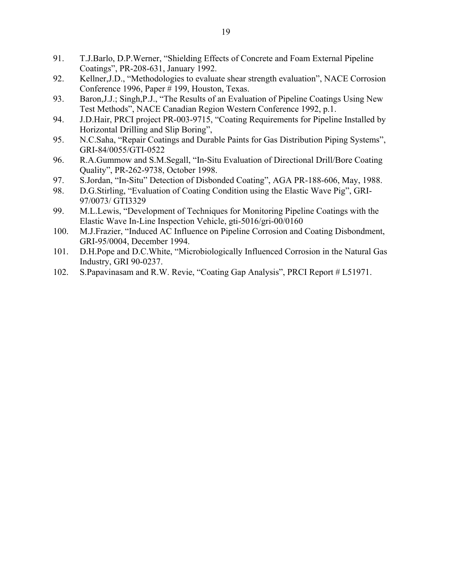- 91. T.J.Barlo, D.P.Werner, "Shielding Effects of Concrete and Foam External Pipeline Coatings", PR-208-631, January 1992.
- 92. Kellner,J.D., "Methodologies to evaluate shear strength evaluation", NACE Corrosion Conference 1996, Paper # 199, Houston, Texas.
- 93. Baron, J.J.; Singh, P.J., "The Results of an Evaluation of Pipeline Coatings Using New Test Methods", NACE Canadian Region Western Conference 1992, p.1.
- 94. J.D.Hair, PRCI project PR-003-9715, "Coating Requirements for Pipeline Installed by Horizontal Drilling and Slip Boring",
- 95. N.C.Saha, "Repair Coatings and Durable Paints for Gas Distribution Piping Systems", GRI-84/0055/GTI-0522
- 96. R.A.Gummow and S.M.Segall, "In-Situ Evaluation of Directional Drill/Bore Coating Quality", PR-262-9738, October 1998.
- 97. S.Jordan, "In-Situ" Detection of Disbonded Coating", AGA PR-188-606, May, 1988.
- 98. D.G.Stirling, "Evaluation of Coating Condition using the Elastic Wave Pig", GRI-97/0073/ GTI3329
- 99. M.L.Lewis, "Development of Techniques for Monitoring Pipeline Coatings with the Elastic Wave In-Line Inspection Vehicle, gti-5016/gri-00/0160
- 100. M.J.Frazier, "Induced AC Influence on Pipeline Corrosion and Coating Disbondment, GRI-95/0004, December 1994.
- 101. D.H.Pope and D.C.White, "Microbiologically Influenced Corrosion in the Natural Gas Industry, GRI 90-0237.
- 102. S.Papavinasam and R.W. Revie, "Coating Gap Analysis", PRCI Report # L51971.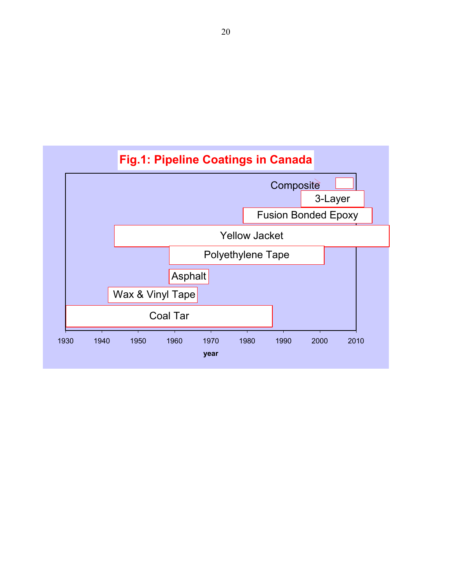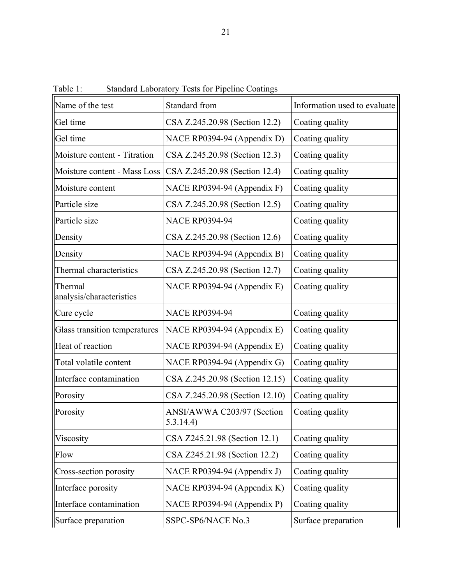| raviv 1.                            | Dianuaru Laboratory Tests for Fiperine Coatings |                              |  |
|-------------------------------------|-------------------------------------------------|------------------------------|--|
| Name of the test                    | Standard from                                   | Information used to evaluate |  |
| Gel time                            | CSA Z.245.20.98 (Section 12.2)                  | Coating quality              |  |
| Gel time                            | NACE RP0394-94 (Appendix D)                     | Coating quality              |  |
| Moisture content - Titration        | CSA Z.245.20.98 (Section 12.3)                  | Coating quality              |  |
| Moisture content - Mass Loss        | CSA Z.245.20.98 (Section 12.4)                  | Coating quality              |  |
| Moisture content                    | NACE RP0394-94 (Appendix F)                     | Coating quality              |  |
| Particle size                       | CSA Z.245.20.98 (Section 12.5)                  | Coating quality              |  |
| Particle size                       | <b>NACE RP0394-94</b>                           | Coating quality              |  |
| Density                             | CSA Z.245.20.98 (Section 12.6)                  | Coating quality              |  |
| Density                             | NACE RP0394-94 (Appendix B)                     | Coating quality              |  |
| Thermal characteristics             | CSA Z.245.20.98 (Section 12.7)                  | Coating quality              |  |
| Thermal<br>analysis/characteristics | NACE RP0394-94 (Appendix E)                     | Coating quality              |  |
| Cure cycle                          | <b>NACE RP0394-94</b>                           | Coating quality              |  |
| Glass transition temperatures       | NACE RP0394-94 (Appendix E)                     | Coating quality              |  |
| Heat of reaction                    | NACE RP0394-94 (Appendix E)                     | Coating quality              |  |
| Total volatile content              | NACE RP0394-94 (Appendix G)                     | Coating quality              |  |
| Interface contamination             | CSA Z.245.20.98 (Section 12.15)                 | Coating quality              |  |
| Porosity                            | CSA Z.245.20.98 (Section 12.10)                 | Coating quality              |  |
| Porosity                            | ANSI/AWWA C203/97 (Section<br>5.3.14.4)         | Coating quality              |  |
| Viscosity                           | CSA Z245.21.98 (Section 12.1)                   | Coating quality              |  |
| Flow                                | CSA Z245.21.98 (Section 12.2)                   | Coating quality              |  |
| Cross-section porosity              | NACE RP0394-94 (Appendix J)                     | Coating quality              |  |
| Interface porosity                  | NACE RP0394-94 (Appendix K)                     | Coating quality              |  |
| Interface contamination             | NACE RP0394-94 (Appendix P)                     | Coating quality              |  |
| Surface preparation                 | SSPC-SP6/NACE No.3                              | Surface preparation          |  |

Table 1: Standard Laboratory Tests for Pipeline Coatings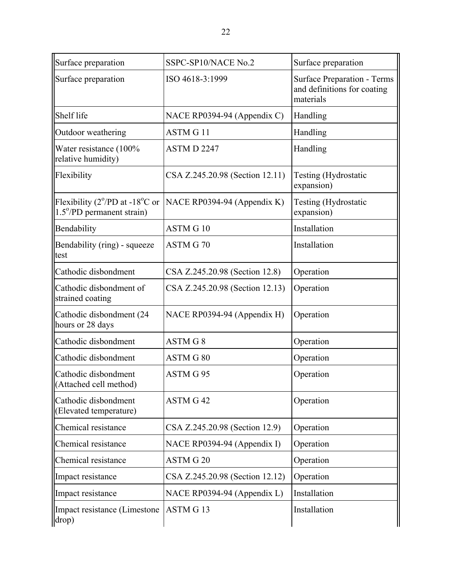| Surface preparation                                                                          | SSPC-SP10/NACE No.2             | Surface preparation                                                            |  |
|----------------------------------------------------------------------------------------------|---------------------------------|--------------------------------------------------------------------------------|--|
| Surface preparation                                                                          | ISO 4618-3:1999                 | <b>Surface Preparation - Terms</b><br>and definitions for coating<br>materials |  |
| Shelf life                                                                                   | NACE RP0394-94 (Appendix C)     | Handling                                                                       |  |
| Outdoor weathering                                                                           | <b>ASTM G11</b>                 | Handling                                                                       |  |
| Water resistance (100%<br>relative humidity)                                                 | ASTM D 2247                     | Handling                                                                       |  |
| Flexibility                                                                                  | CSA Z.245.20.98 (Section 12.11) | <b>Testing (Hydrostatic</b><br>expansion)                                      |  |
| Flexibility ( $2^{\circ}/PD$ at -18 <sup>o</sup> C or<br>$1.5^{\circ}$ /PD permanent strain) | NACE RP0394-94 (Appendix K)     | Testing (Hydrostatic<br>expansion)                                             |  |
| Bendability                                                                                  | ASTM G 10                       | Installation                                                                   |  |
| Bendability (ring) - squeeze<br>test                                                         | ASTM G70                        | Installation                                                                   |  |
| Cathodic disbondment                                                                         | CSA Z.245.20.98 (Section 12.8)  | Operation                                                                      |  |
| Cathodic disbondment of<br>strained coating                                                  | CSA Z.245.20.98 (Section 12.13) | Operation                                                                      |  |
| Cathodic disbondment (24)<br>hours or 28 days                                                | NACE RP0394-94 (Appendix H)     | Operation                                                                      |  |
| Cathodic disbondment                                                                         | ASTM G 8                        | Operation                                                                      |  |
| Cathodic disbondment                                                                         | ASTM G 80                       | Operation                                                                      |  |
| Cathodic disbondment<br>(Attached cell method)                                               | ASTM G 95                       | Operation                                                                      |  |
| Cathodic disbondment<br>(Elevated temperature)                                               | ASTM G 42                       | Operation                                                                      |  |
| Chemical resistance                                                                          | CSA Z.245.20.98 (Section 12.9)  | Operation                                                                      |  |
| Chemical resistance                                                                          | NACE RP0394-94 (Appendix I)     | Operation                                                                      |  |
| Chemical resistance                                                                          | <b>ASTM G20</b>                 | Operation                                                                      |  |
| Impact resistance                                                                            | CSA Z.245.20.98 (Section 12.12) | Operation                                                                      |  |
| Impact resistance                                                                            | NACE RP0394-94 (Appendix L)     | Installation                                                                   |  |
| Impact resistance (Limestone<br>drop)                                                        | ASTM G13                        | Installation                                                                   |  |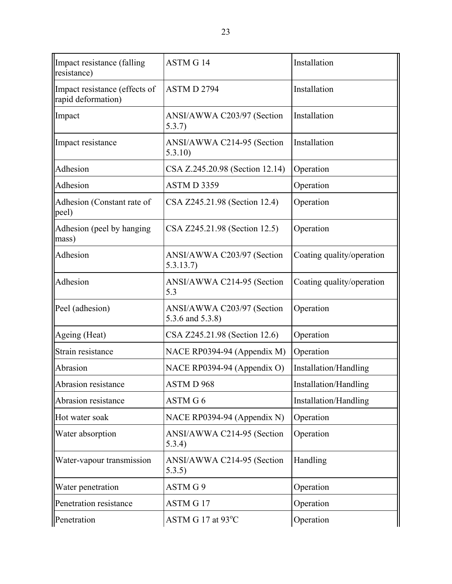| Impact resistance (falling)<br>resistance)          | <b>ASTM G14</b>                                | Installation              |  |
|-----------------------------------------------------|------------------------------------------------|---------------------------|--|
| Impact resistance (effects of<br>rapid deformation) | ASTM D 2794                                    | Installation              |  |
| Impact                                              | ANSI/AWWA C203/97 (Section<br>5.3.7)           | Installation              |  |
| Impact resistance                                   | ANSI/AWWA C214-95 (Section<br>5.3.10           | Installation              |  |
| Adhesion                                            | CSA Z.245.20.98 (Section 12.14)                | Operation                 |  |
| Adhesion                                            | ASTMD 3359                                     | Operation                 |  |
| Adhesion (Constant rate of<br>peel)                 | CSA Z245.21.98 (Section 12.4)                  | Operation                 |  |
| Adhesion (peel by hanging)<br>mass)                 | CSA Z245.21.98 (Section 12.5)                  | Operation                 |  |
| Adhesion                                            | ANSI/AWWA C203/97 (Section<br>5.3.13.7         | Coating quality/operation |  |
| Adhesion                                            | ANSI/AWWA C214-95 (Section<br>5.3              | Coating quality/operation |  |
| Peel (adhesion)                                     | ANSI/AWWA C203/97 (Section<br>5.3.6 and 5.3.8) | Operation                 |  |
| Ageing (Heat)                                       | CSA Z245.21.98 (Section 12.6)                  | Operation                 |  |
| Strain resistance                                   | NACE RP0394-94 (Appendix M)                    | Operation                 |  |
| Abrasion                                            | NACE RP0394-94 (Appendix O)                    | Installation/Handling     |  |
| Abrasion resistance                                 | ASTM D 968                                     | Installation/Handling     |  |
| Abrasion resistance                                 | ASTM G 6                                       | Installation/Handling     |  |
| Hot water soak                                      | NACE RP0394-94 (Appendix N)                    | Operation                 |  |
| Water absorption                                    | ANSI/AWWA C214-95 (Section<br>5.3.4)           | Operation                 |  |
| Water-vapour transmission                           | ANSI/AWWA C214-95 (Section<br>5.3.5)           | Handling                  |  |
| Water penetration                                   | ASTM G 9                                       | Operation                 |  |
| Penetration resistance                              | <b>ASTM G17</b>                                | Operation                 |  |
| Penetration                                         | ASTM G 17 at 93°C                              | Operation                 |  |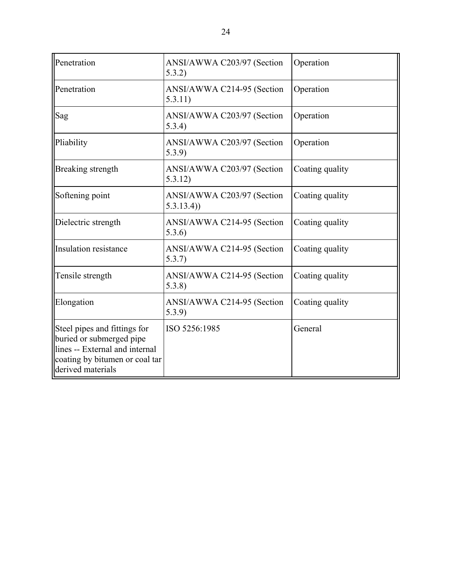| Penetration                                                                                                                                       | ANSI/AWWA C203/97 (Section<br>5.3.2)    | Operation       |  |
|---------------------------------------------------------------------------------------------------------------------------------------------------|-----------------------------------------|-----------------|--|
| Penetration                                                                                                                                       | ANSI/AWWA C214-95 (Section<br>5.3.11)   | Operation       |  |
| Sag                                                                                                                                               | ANSI/AWWA C203/97 (Section<br>5.3.4)    | Operation       |  |
| Pliability                                                                                                                                        | ANSI/AWWA C203/97 (Section<br>5.3.9     | Operation       |  |
| Breaking strength                                                                                                                                 | ANSI/AWWA C203/97 (Section<br>5.3.12)   | Coating quality |  |
| Softening point                                                                                                                                   | ANSI/AWWA C203/97 (Section<br>5.3.13.4) | Coating quality |  |
| Dielectric strength                                                                                                                               | ANSI/AWWA C214-95 (Section<br>5.3.6)    | Coating quality |  |
| <b>Insulation resistance</b>                                                                                                                      | ANSI/AWWA C214-95 (Section<br>5.3.7)    | Coating quality |  |
| Tensile strength                                                                                                                                  | ANSI/AWWA C214-95 (Section<br>5.3.8     | Coating quality |  |
| Elongation                                                                                                                                        | ANSI/AWWA C214-95 (Section<br>5.3.9     | Coating quality |  |
| Steel pipes and fittings for<br>buried or submerged pipe<br>lines -- External and internal<br>coating by bitumen or coal tar<br>derived materials | ISO 5256:1985                           | General         |  |